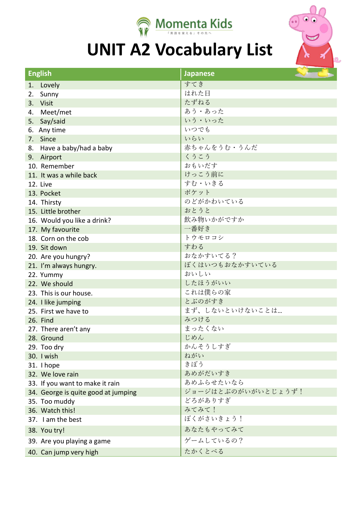

## **UNIT A2 Vocabulary List**